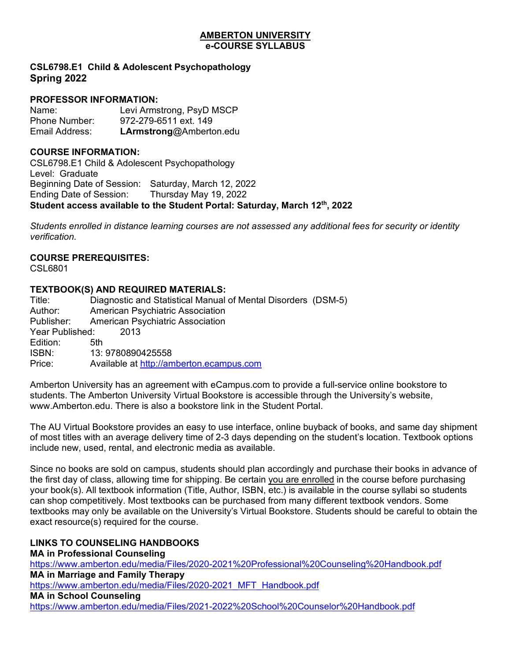#### **AMBERTON UNIVERSITY e-COURSE SYLLABUS**

# **CSL6798.E1 Child & Adolescent Psychopathology Spring 2022**

## **PROFESSOR INFORMATION:**

Name: Levi Armstrong, PsyD MSCP Phone Number: 972-279-6511 ext. 149 Email Address: **LArmstrong**@Amberton.edu

### **COURSE INFORMATION:**

CSL6798.E1 Child & Adolescent Psychopathology Level: Graduate Beginning Date of Session: Saturday, March 12, 2022 Ending Date of Session: Thursday May 19, 2022 **Student access available to the Student Portal: Saturday, March 12th, 2022**

*Students enrolled in distance learning courses are not assessed any additional fees for security or identity verification.*

### **COURSE PREREQUISITES:**

CSL6801

# **TEXTBOOK(S) AND REQUIRED MATERIALS:**

Title: Diagnostic and Statistical Manual of Mental Disorders (DSM-5) Author: American Psychiatric Association American Psychiatric Association Year Published: 2013 Edition: 5th ISBN: 13: 9780890425558 Price: Available at [http://amberton.ecampus.com](http://amberton.ecampus.com/)

Amberton University has an agreement with eCampus.com to provide a full-service online bookstore to students. The Amberton University Virtual Bookstore is accessible through the University's website, www. Amberton.edu. There is also a bookstore link in the Student Portal.

The AU Virtual Bookstore provides an easy to use interface, online buyback of books, and same day shipment of most titles with an average delivery time of 2-3 days depending on the student's location. Textbook options include new, used, rental, and electronic media as available.

Since no books are sold on campus, students should plan accordingly and purchase their books in advance of the first day of class, allowing time for shipping. Be certain you are enrolled in the course before purchasing your book(s). All textbook information (Title, Author, ISBN, etc.) is available in the course syllabi so students can shop competitively. Most textbooks can be purchased from many different textbook vendors. Some textbooks may only be available on the University's Virtual Bookstore. Students should be careful to obtain the exact resource(s) required for the course.

# **LINKS TO COUNSELING HANDBOOKS**

**MA in Professional Counseling** <https://www.amberton.edu/media/Files/2020-2021%20Professional%20Counseling%20Handbook.pdf> **MA in Marriage and Family Therapy** [https://www.amberton.edu/media/Files/2020-2021\\_MFT\\_Handbook.pdf](https://www.amberton.edu/media/Files/2020-2021_MFT_Handbook.pdf) **MA in School Counseling** <https://www.amberton.edu/media/Files/2021-2022%20School%20Counselor%20Handbook.pdf>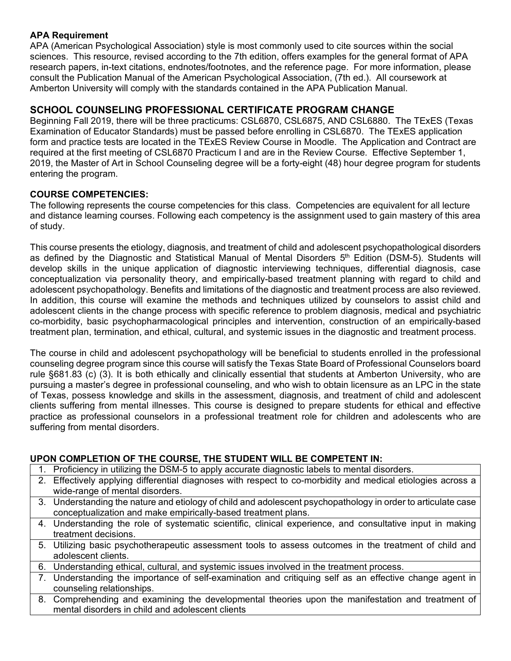## **APA Requirement**

APA (American Psychological Association) style is most commonly used to cite sources within the social sciences. This resource, revised according to the 7th edition, offers examples for the general format of APA research papers, in-text citations, endnotes/footnotes, and the reference page. For more information, please consult the Publication Manual of the American Psychological Association, (7th ed.). All coursework at Amberton University will comply with the standards contained in the APA Publication Manual.

# **SCHOOL COUNSELING PROFESSIONAL CERTIFICATE PROGRAM CHANGE**

Beginning Fall 2019, there will be three practicums: CSL6870, CSL6875, AND CSL6880. The TExES (Texas Examination of Educator Standards) must be passed before enrolling in CSL6870. The TExES application form and practice tests are located in the TExES Review Course in Moodle. The Application and Contract are required at the first meeting of CSL6870 Practicum I and are in the Review Course. Effective September 1, 2019, the Master of Art in School Counseling degree will be a forty-eight (48) hour degree program for students entering the program.

## **COURSE COMPETENCIES:**

The following represents the course competencies for this class. Competencies are equivalent for all lecture and distance learning courses. Following each competency is the assignment used to gain mastery of this area of study.

This course presents the etiology, diagnosis, and treatment of child and adolescent psychopathological disorders as defined by the Diagnostic and Statistical Manual of Mental Disorders 5<sup>th</sup> Edition (DSM-5). Students will develop skills in the unique application of diagnostic interviewing techniques, differential diagnosis, case conceptualization via personality theory, and empirically-based treatment planning with regard to child and adolescent psychopathology. Benefits and limitations of the diagnostic and treatment process are also reviewed. In addition, this course will examine the methods and techniques utilized by counselors to assist child and adolescent clients in the change process with specific reference to problem diagnosis, medical and psychiatric co-morbidity, basic psychopharmacological principles and intervention, construction of an empirically-based treatment plan, termination, and ethical, cultural, and systemic issues in the diagnostic and treatment process.

The course in child and adolescent psychopathology will be beneficial to students enrolled in the professional counseling degree program since this course will satisfy the Texas State Board of Professional Counselors board rule §681.83 (c) (3). It is both ethically and clinically essential that students at Amberton University, who are pursuing a master's degree in professional counseling, and who wish to obtain licensure as an LPC in the state of Texas, possess knowledge and skills in the assessment, diagnosis, and treatment of child and adolescent clients suffering from mental illnesses. This course is designed to prepare students for ethical and effective practice as professional counselors in a professional treatment role for children and adolescents who are suffering from mental disorders.

# **UPON COMPLETION OF THE COURSE, THE STUDENT WILL BE COMPETENT IN:**

- 1. Proficiency in utilizing the DSM-5 to apply accurate diagnostic labels to mental disorders.
- 2. Effectively applying differential diagnoses with respect to co-morbidity and medical etiologies across a wide-range of mental disorders.
- 3. Understanding the nature and etiology of child and adolescent psychopathology in order to articulate case conceptualization and make empirically-based treatment plans.
- 4. Understanding the role of systematic scientific, clinical experience, and consultative input in making treatment decisions.
- 5. Utilizing basic psychotherapeutic assessment tools to assess outcomes in the treatment of child and adolescent clients.
- 6. Understanding ethical, cultural, and systemic issues involved in the treatment process.
- 7. Understanding the importance of self-examination and critiquing self as an effective change agent in counseling relationships.
- 8. Comprehending and examining the developmental theories upon the manifestation and treatment of mental disorders in child and adolescent clients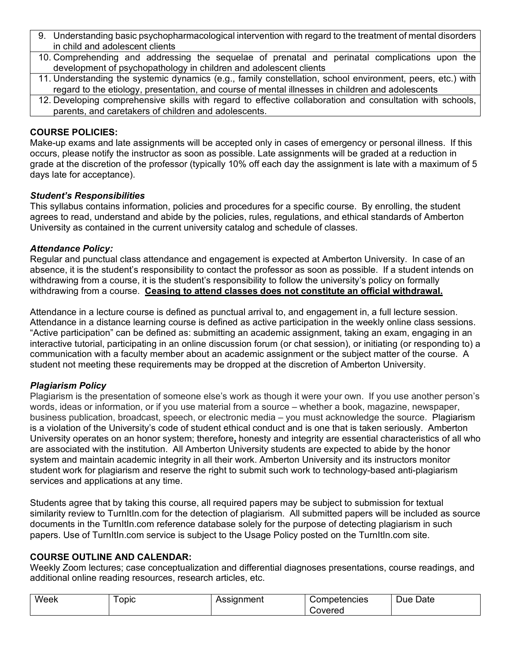- 9. Understanding basic psychopharmacological intervention with regard to the treatment of mental disorders in child and adolescent clients
- 10. Comprehending and addressing the sequelae of prenatal and perinatal complications upon the development of psychopathology in children and adolescent clients
- 11. Understanding the systemic dynamics (e.g., family constellation, school environment, peers, etc.) with regard to the etiology, presentation, and course of mental illnesses in children and adolescents
- 12. Developing comprehensive skills with regard to effective collaboration and consultation with schools, parents, and caretakers of children and adolescents.

## **COURSE POLICIES:**

Make-up exams and late assignments will be accepted only in cases of emergency or personal illness. If this occurs, please notify the instructor as soon as possible. Late assignments will be graded at a reduction in grade at the discretion of the professor (typically 10% off each day the assignment is late with a maximum of 5 days late for acceptance).

## *Student's Responsibilities*

This syllabus contains information, policies and procedures for a specific course. By enrolling, the student agrees to read, understand and abide by the policies, rules, regulations, and ethical standards of Amberton University as contained in the current university catalog and schedule of classes.

## *Attendance Policy:*

Regular and punctual class attendance and engagement is expected at Amberton University. In case of an absence, it is the student's responsibility to contact the professor as soon as possible. If a student intends on withdrawing from a course, it is the student's responsibility to follow the university's policy on formally withdrawing from a course. **Ceasing to attend classes does not constitute an official withdrawal.**

Attendance in a lecture course is defined as punctual arrival to, and engagement in, a full lecture session. Attendance in a distance learning course is defined as active participation in the weekly online class sessions. "Active participation" can be defined as: submitting an academic assignment, taking an exam, engaging in an interactive tutorial, participating in an online discussion forum (or chat session), or initiating (or responding to) a communication with a faculty member about an academic assignment or the subject matter of the course. A student not meeting these requirements may be dropped at the discretion of Amberton University.

# *Plagiarism Policy*

Plagiarism is the presentation of someone else's work as though it were your own. If you use another person's words, ideas or information, or if you use material from a source – whether a book, magazine, newspaper, business publication, broadcast, speech, or electronic media – you must acknowledge the source. Plagiarism is a violation of the University's code of student ethical conduct and is one that is taken seriously. Amberton University operates on an honor system; therefore**,** honesty and integrity are essential characteristics of all who are associated with the institution. All Amberton University students are expected to abide by the honor system and maintain academic integrity in all their work. Amberton University and its instructors monitor student work for plagiarism and reserve the right to submit such work to technology-based anti-plagiarism services and applications at any time.

Students agree that by taking this course, all required papers may be subject to submission for textual similarity review to TurnItIn.com for the detection of plagiarism. All submitted papers will be included as source documents in the TurnItIn.com reference database solely for the purpose of detecting plagiarism in such papers. Use of TurnItIn.com service is subject to the Usage Policy posted on the TurnItIn.com site.

### **COURSE OUTLINE AND CALENDAR:**

Weekly Zoom lectures; case conceptualization and differential diagnoses presentations, course readings, and additional online reading resources, research articles, etc.

| Week | opic | -----<br>nent<br>55 I L<br>nu. | tencies<br>œ                   | -<br>-<br>⊃ate<br>Due⊹ |
|------|------|--------------------------------|--------------------------------|------------------------|
|      |      |                                | -<br>were <sup>r</sup><br>cıcu |                        |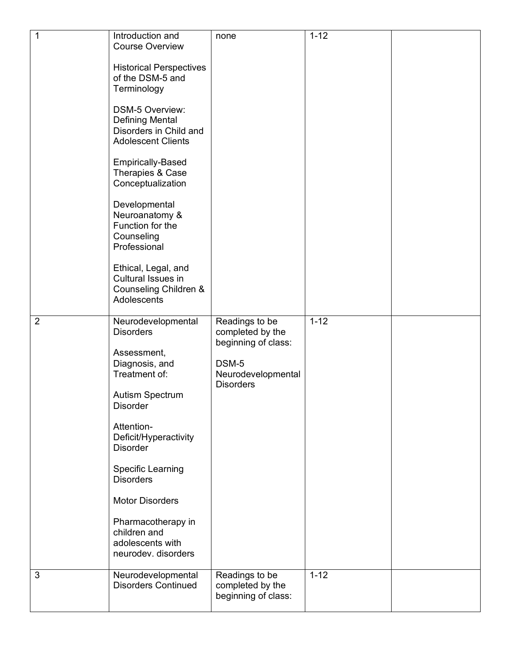| $\overline{1}$ | Introduction and<br><b>Course Overview</b><br><b>Historical Perspectives</b><br>of the DSM-5 and<br>Terminology<br><b>DSM-5 Overview:</b><br><b>Defining Mental</b><br>Disorders in Child and<br><b>Adolescent Clients</b><br><b>Empirically-Based</b><br>Therapies & Case<br>Conceptualization<br>Developmental<br>Neuroanatomy &<br>Function for the<br>Counseling<br>Professional<br>Ethical, Legal, and<br>Cultural Issues in<br>Counseling Children &<br>Adolescents | none                                                                                                         | $1 - 12$ |  |
|----------------|---------------------------------------------------------------------------------------------------------------------------------------------------------------------------------------------------------------------------------------------------------------------------------------------------------------------------------------------------------------------------------------------------------------------------------------------------------------------------|--------------------------------------------------------------------------------------------------------------|----------|--|
| $\overline{2}$ | Neurodevelopmental<br><b>Disorders</b><br>Assessment,<br>Diagnosis, and<br>Treatment of:<br>Autism Spectrum<br><b>Disorder</b><br>Attention-<br>Deficit/Hyperactivity<br><b>Disorder</b><br>Specific Learning<br><b>Disorders</b><br><b>Motor Disorders</b><br>Pharmacotherapy in<br>children and<br>adolescents with<br>neurodev. disorders                                                                                                                              | Readings to be<br>completed by the<br>beginning of class:<br>DSM-5<br>Neurodevelopmental<br><b>Disorders</b> | $1 - 12$ |  |
| $\mathbf{3}$   | Neurodevelopmental<br><b>Disorders Continued</b>                                                                                                                                                                                                                                                                                                                                                                                                                          | Readings to be<br>completed by the<br>beginning of class:                                                    | $1 - 12$ |  |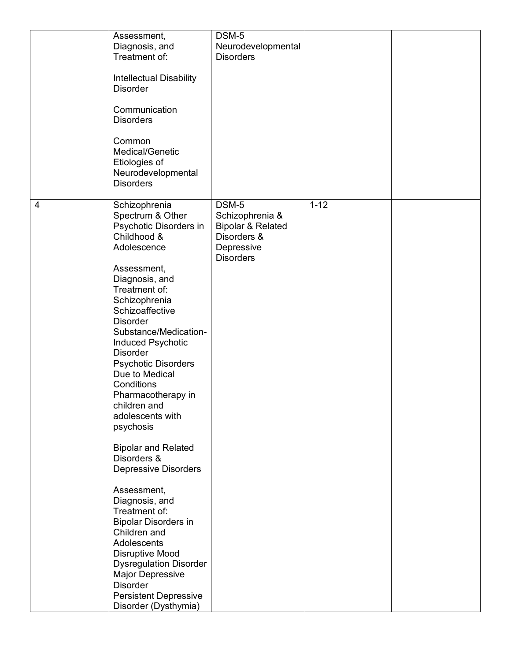|                | Assessment,<br>Diagnosis, and<br>Treatment of:<br><b>Intellectual Disability</b><br><b>Disorder</b><br>Communication<br><b>Disorders</b><br>Common<br>Medical/Genetic<br>Etiologies of<br>Neurodevelopmental<br><b>Disorders</b>                                                                                                                                                                                                                                                                                                                                                                                                                                                                                                                                             | DSM-5<br>Neurodevelopmental<br><b>Disorders</b>                                                           |          |  |
|----------------|------------------------------------------------------------------------------------------------------------------------------------------------------------------------------------------------------------------------------------------------------------------------------------------------------------------------------------------------------------------------------------------------------------------------------------------------------------------------------------------------------------------------------------------------------------------------------------------------------------------------------------------------------------------------------------------------------------------------------------------------------------------------------|-----------------------------------------------------------------------------------------------------------|----------|--|
| $\overline{4}$ | Schizophrenia<br>Spectrum & Other<br>Psychotic Disorders in<br>Childhood &<br>Adolescence<br>Assessment,<br>Diagnosis, and<br>Treatment of:<br>Schizophrenia<br>Schizoaffective<br><b>Disorder</b><br>Substance/Medication-<br><b>Induced Psychotic</b><br><b>Disorder</b><br><b>Psychotic Disorders</b><br>Due to Medical<br>Conditions<br>Pharmacotherapy in<br>children and<br>adolescents with<br>psychosis<br><b>Bipolar and Related</b><br>Disorders &<br><b>Depressive Disorders</b><br>Assessment,<br>Diagnosis, and<br>Treatment of:<br><b>Bipolar Disorders in</b><br>Children and<br>Adolescents<br><b>Disruptive Mood</b><br><b>Dysregulation Disorder</b><br><b>Major Depressive</b><br><b>Disorder</b><br><b>Persistent Depressive</b><br>Disorder (Dysthymia) | DSM-5<br>Schizophrenia &<br><b>Bipolar &amp; Related</b><br>Disorders &<br>Depressive<br><b>Disorders</b> | $1 - 12$ |  |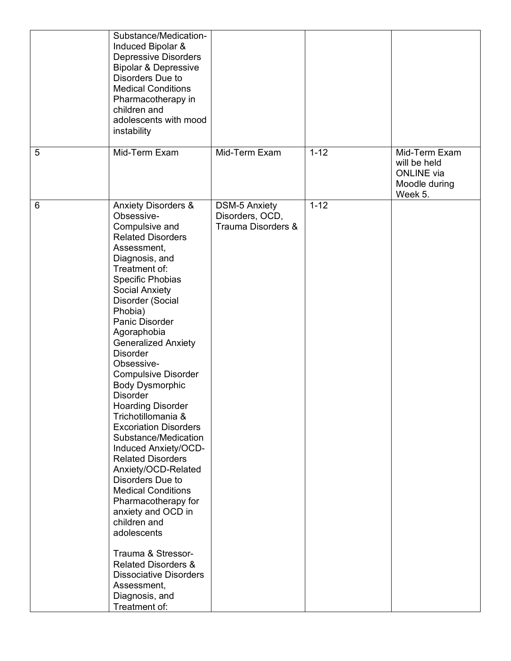|   | Substance/Medication-<br>Induced Bipolar &<br><b>Depressive Disorders</b><br><b>Bipolar &amp; Depressive</b><br>Disorders Due to<br><b>Medical Conditions</b><br>Pharmacotherapy in<br>children and<br>adolescents with mood<br>instability                                                                                                                                                                                                                                                                                                                                                                                                                                                                                                                                                                                                                      |                                                               |          |                                                                                |
|---|------------------------------------------------------------------------------------------------------------------------------------------------------------------------------------------------------------------------------------------------------------------------------------------------------------------------------------------------------------------------------------------------------------------------------------------------------------------------------------------------------------------------------------------------------------------------------------------------------------------------------------------------------------------------------------------------------------------------------------------------------------------------------------------------------------------------------------------------------------------|---------------------------------------------------------------|----------|--------------------------------------------------------------------------------|
| 5 | Mid-Term Exam                                                                                                                                                                                                                                                                                                                                                                                                                                                                                                                                                                                                                                                                                                                                                                                                                                                    | Mid-Term Exam                                                 | $1 - 12$ | Mid-Term Exam<br>will be held<br><b>ONLINE</b> via<br>Moodle during<br>Week 5. |
| 6 | <b>Anxiety Disorders &amp;</b><br>Obsessive-<br>Compulsive and<br><b>Related Disorders</b><br>Assessment,<br>Diagnosis, and<br>Treatment of:<br>Specific Phobias<br><b>Social Anxiety</b><br>Disorder (Social<br>Phobia)<br>Panic Disorder<br>Agoraphobia<br><b>Generalized Anxiety</b><br><b>Disorder</b><br>Obsessive-<br><b>Compulsive Disorder</b><br><b>Body Dysmorphic</b><br><b>Disorder</b><br><b>Hoarding Disorder</b><br>Trichotillomania &<br><b>Excoriation Disorders</b><br>Substance/Medication<br>Induced Anxiety/OCD-<br><b>Related Disorders</b><br>Anxiety/OCD-Related<br>Disorders Due to<br><b>Medical Conditions</b><br>Pharmacotherapy for<br>anxiety and OCD in<br>children and<br>adolescents<br>Trauma & Stressor-<br><b>Related Disorders &amp;</b><br><b>Dissociative Disorders</b><br>Assessment,<br>Diagnosis, and<br>Treatment of: | <b>DSM-5 Anxiety</b><br>Disorders, OCD,<br>Trauma Disorders & | $1 - 12$ |                                                                                |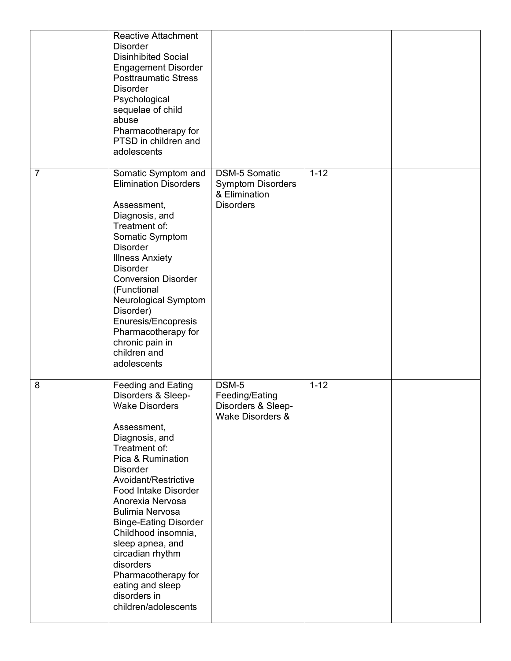|                | <b>Reactive Attachment</b><br><b>Disorder</b><br><b>Disinhibited Social</b><br><b>Engagement Disorder</b><br><b>Posttraumatic Stress</b><br><b>Disorder</b><br>Psychological<br>sequelae of child<br>abuse<br>Pharmacotherapy for<br>PTSD in children and<br>adolescents                                                                                                                                                                                               |                                                                                       |          |  |
|----------------|------------------------------------------------------------------------------------------------------------------------------------------------------------------------------------------------------------------------------------------------------------------------------------------------------------------------------------------------------------------------------------------------------------------------------------------------------------------------|---------------------------------------------------------------------------------------|----------|--|
| $\overline{7}$ | Somatic Symptom and<br><b>Elimination Disorders</b><br>Assessment,<br>Diagnosis, and<br>Treatment of:<br>Somatic Symptom<br><b>Disorder</b><br><b>Illness Anxiety</b><br><b>Disorder</b><br><b>Conversion Disorder</b><br>(Functional<br><b>Neurological Symptom</b><br>Disorder)<br>Enuresis/Encopresis<br>Pharmacotherapy for<br>chronic pain in<br>children and<br>adolescents                                                                                      | <b>DSM-5 Somatic</b><br><b>Symptom Disorders</b><br>& Elimination<br><b>Disorders</b> | $1 - 12$ |  |
| 8              | <b>Feeding and Eating</b><br>Disorders & Sleep-<br><b>Wake Disorders</b><br>Assessment,<br>Diagnosis, and<br>Treatment of:<br>Pica & Rumination<br><b>Disorder</b><br>Avoidant/Restrictive<br><b>Food Intake Disorder</b><br>Anorexia Nervosa<br><b>Bulimia Nervosa</b><br><b>Binge-Eating Disorder</b><br>Childhood insomnia,<br>sleep apnea, and<br>circadian rhythm<br>disorders<br>Pharmacotherapy for<br>eating and sleep<br>disorders in<br>children/adolescents | DSM-5<br>Feeding/Eating<br>Disorders & Sleep-<br>Wake Disorders &                     | $1 - 12$ |  |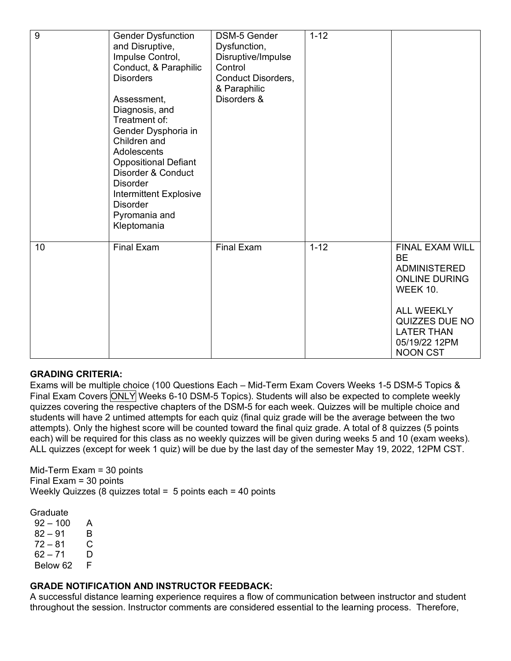| 9  | <b>Gender Dysfunction</b><br>and Disruptive,<br>Impulse Control,<br>Conduct, & Paraphilic<br><b>Disorders</b><br>Assessment,<br>Diagnosis, and<br>Treatment of:<br>Gender Dysphoria in<br>Children and<br>Adolescents<br><b>Oppositional Defiant</b><br>Disorder & Conduct<br><b>Disorder</b><br><b>Intermittent Explosive</b><br><b>Disorder</b><br>Pyromania and<br>Kleptomania | <b>DSM-5 Gender</b><br>Dysfunction,<br>Disruptive/Impulse<br>Control<br>Conduct Disorders,<br>& Paraphilic<br>Disorders & | $1 - 12$ |                                                                                                                                                                                                |
|----|-----------------------------------------------------------------------------------------------------------------------------------------------------------------------------------------------------------------------------------------------------------------------------------------------------------------------------------------------------------------------------------|---------------------------------------------------------------------------------------------------------------------------|----------|------------------------------------------------------------------------------------------------------------------------------------------------------------------------------------------------|
| 10 | <b>Final Exam</b>                                                                                                                                                                                                                                                                                                                                                                 | <b>Final Exam</b>                                                                                                         | $1 - 12$ | FINAL EXAM WILL<br><b>BE</b><br><b>ADMINISTERED</b><br><b>ONLINE DURING</b><br><b>WEEK 10.</b><br><b>ALL WEEKLY</b><br>QUIZZES DUE NO<br><b>LATER THAN</b><br>05/19/22 12PM<br><b>NOON CST</b> |

### **GRADING CRITERIA:**

Exams will be multiple choice (100 Questions Each – Mid-Term Exam Covers Weeks 1-5 DSM-5 Topics & Final Exam Covers ONLY Weeks 6-10 DSM-5 Topics). Students will also be expected to complete weekly quizzes covering the respective chapters of the DSM-5 for each week. Quizzes will be multiple choice and students will have 2 untimed attempts for each quiz (final quiz grade will be the average between the two attempts). Only the highest score will be counted toward the final quiz grade. A total of 8 quizzes (5 points each) will be required for this class as no weekly quizzes will be given during weeks 5 and 10 (exam weeks). ALL quizzes (except for week 1 quiz) will be due by the last day of the semester May 19, 2022, 12PM CST.

Mid-Term Exam = 30 points Final Exam = 30 points Weekly Quizzes (8 quizzes total =  $5$  points each = 40 points

Graduate

 $92 - 100$  A  $82 - 91$  B<br> $72 - 81$  C  $72 - 81$ 62 – 71 D<br>Below 62 F Below 62

### **GRADE NOTIFICATION AND INSTRUCTOR FEEDBACK:**

A successful distance learning experience requires a flow of communication between instructor and student throughout the session. Instructor comments are considered essential to the learning process. Therefore,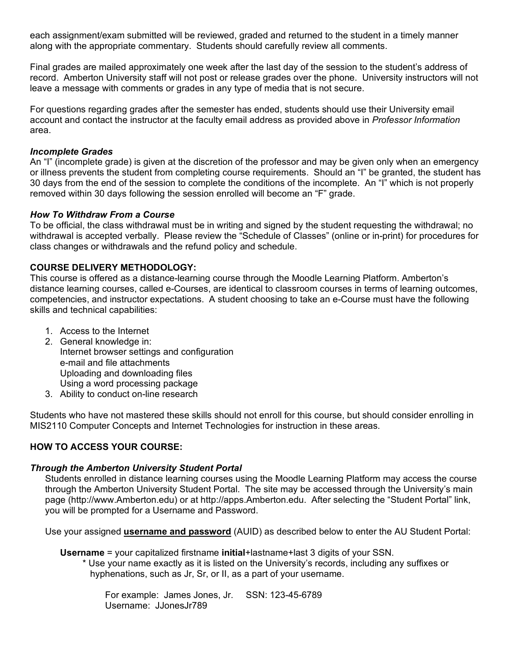each assignment/exam submitted will be reviewed, graded and returned to the student in a timely manner along with the appropriate commentary. Students should carefully review all comments.

Final grades are mailed approximately one week after the last day of the session to the student's address of record. Amberton University staff will not post or release grades over the phone. University instructors will not leave a message with comments or grades in any type of media that is not secure.

For questions regarding grades after the semester has ended, students should use their University email account and contact the instructor at the faculty email address as provided above in *Professor Information* area.

### *Incomplete Grades*

An "I" (incomplete grade) is given at the discretion of the professor and may be given only when an emergency or illness prevents the student from completing course requirements. Should an "I" be granted, the student has 30 days from the end of the session to complete the conditions of the incomplete. An "I" which is not properly removed within 30 days following the session enrolled will become an "F" grade.

#### *How To Withdraw From a Course*

To be official, the class withdrawal must be in writing and signed by the student requesting the withdrawal; no withdrawal is accepted verbally. Please review the "Schedule of Classes" (online or in-print) for procedures for class changes or withdrawals and the refund policy and schedule.

### **COURSE DELIVERY METHODOLOGY:**

This course is offered as a distance-learning course through the Moodle Learning Platform. Amberton's distance learning courses, called e-Courses, are identical to classroom courses in terms of learning outcomes, competencies, and instructor expectations. A student choosing to take an e-Course must have the following skills and technical capabilities:

- 1. Access to the Internet
- 2. General knowledge in: Internet browser settings and configuration e-mail and file attachments Uploading and downloading files Using a word processing package
- 3. Ability to conduct on-line research

Students who have not mastered these skills should not enroll for this course, but should consider enrolling in MIS2110 Computer Concepts and Internet Technologies for instruction in these areas.

### **HOW TO ACCESS YOUR COURSE:**

#### *Through the Amberton University Student Portal*

Students enrolled in distance learning courses using the Moodle Learning Platform may access the course through the Amberton University Student Portal. The site may be accessed through the University's main page (http://www.Amberton.edu) or at http://apps.Amberton.edu. After selecting the "Student Portal" link, you will be prompted for a Username and Password.

Use your assigned **username and password** (AUID) as described below to enter the AU Student Portal:

**Username** = your capitalized firstname **initial**+lastname+last 3 digits of your SSN.

\* Use your name exactly as it is listed on the University's records, including any suffixes or hyphenations, such as Jr, Sr, or II, as a part of your username.

For example: James Jones, Jr. SSN: 123-45-6789 Username: JJonesJr789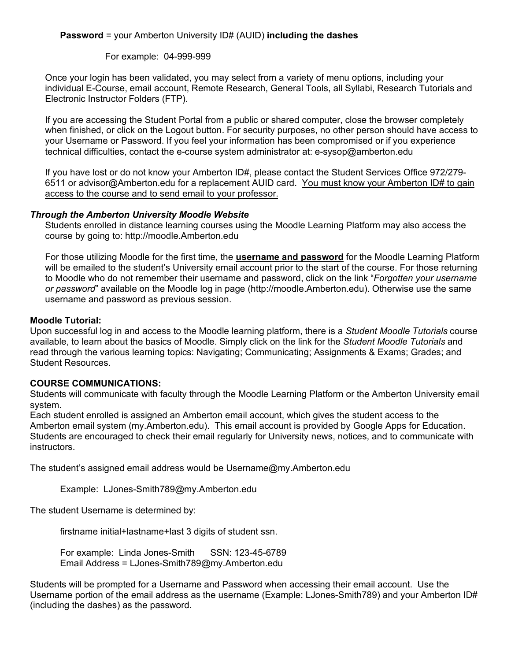## **Password** = your Amberton University ID# (AUID) **including the dashes**

### For example: 04-999-999

Once your login has been validated, you may select from a variety of menu options, including your individual E-Course, email account, Remote Research, General Tools, all Syllabi, Research Tutorials and Electronic Instructor Folders (FTP).

If you are accessing the Student Portal from a public or shared computer, close the browser completely when finished, or click on the Logout button. For security purposes, no other person should have access to your Username or Password. If you feel your information has been compromised or if you experience technical difficulties, contact the e-course system administrator at: e-sysop@amberton.edu

If you have lost or do not know your Amberton ID#, please contact the Student Services Office 972/279-6511 or advisor@Amberton.edu for a replacement AUID card. You must know your Amberton ID# to gain access to the course and to send email to your professor.

### *Through the Amberton University Moodle Website*

Students enrolled in distance learning courses using the Moodle Learning Platform may also access the course by going to: http://moodle.Amberton.edu

For those utilizing Moodle for the first time, the **username and password** for the Moodle Learning Platform will be emailed to the student's University email account prior to the start of the course. For those returning to Moodle who do not remember their username and password, click on the link "*Forgotten your username or password*" available on the Moodle log in page (http://moodle.Amberton.edu). Otherwise use the same username and password as previous session.

### **Moodle Tutorial:**

Upon successful log in and access to the Moodle learning platform, there is a *Student Moodle Tutorials* course available, to learn about the basics of Moodle. Simply click on the link for the *Student Moodle Tutorials* and read through the various learning topics: Navigating; Communicating; Assignments & Exams; Grades; and Student Resources.

### **COURSE COMMUNICATIONS:**

Students will communicate with faculty through the Moodle Learning Platform or the Amberton University email system.

Each student enrolled is assigned an Amberton email account, which gives the student access to the Amberton email system (my.Amberton.edu). This email account is provided by Google Apps for Education. Students are encouraged to check their email regularly for University news, notices, and to communicate with instructors.

The student's assigned email address would be Username@my.Amberton.edu

Example: LJones-Smith789@my.Amberton.edu

The student Username is determined by:

firstname initial+lastname+last 3 digits of student ssn.

For example: Linda Jones-Smith SSN: 123-45-6789 Email Address = LJones-Smith789@my.Amberton.edu

Students will be prompted for a Username and Password when accessing their email account. Use the Username portion of the email address as the username (Example: LJones-Smith789) and your Amberton ID# (including the dashes) as the password.